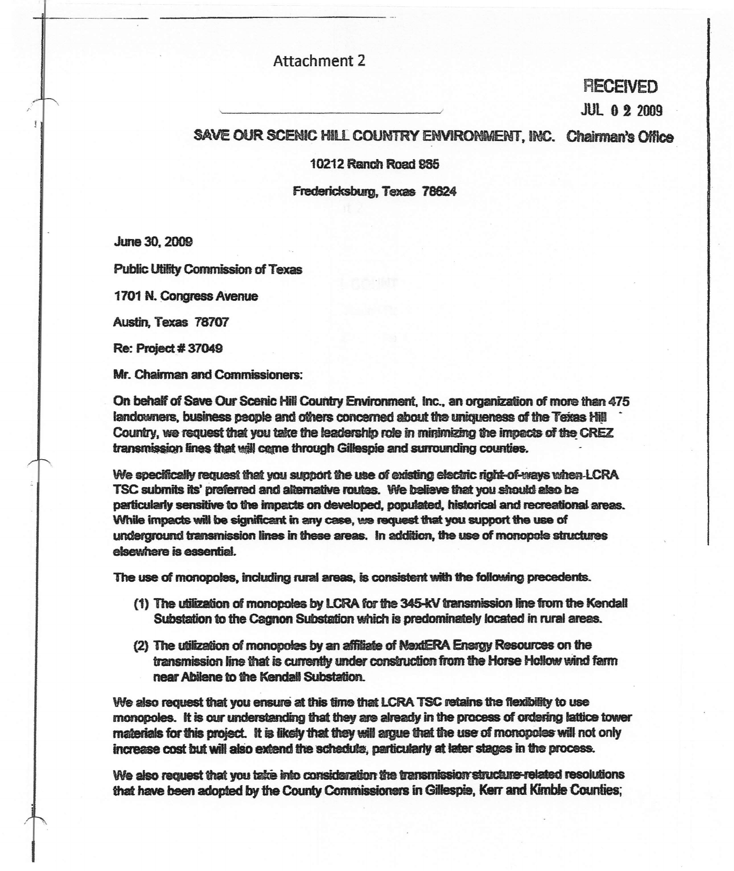## Attachment 2

## **RECEIVED**

**JUL 02 2009** 

## SAVE OUR SCENIC HILL COUNTRY ENVIRONMENT, INC. Chairman's Office

10212 Ranch Road 985

Fredericksburg, Texas 78624

June 30, 2009

Public Utility Commission of Texas

1701 N. Congress AVenue

Austin. Texas 78707

Re: Project # <sup>37049</sup>

Mr. Chairman and Commissioners:

On behalf of Save Our Scenic Hill Country Environment, Inc., an organization of more than 475 landowners, business people and others concerned about the uniqueness of the Teiras Hill Country, we request that you take the leadership role in minimizing the impacts of the CREZ transmission lines that will come through Gillespie and surrounding counties.

We specifically request that you support the use of existing electric right-of-ways when-LCRA TSC submits its' preferred and alternative routes. We believe that you should also be perticularly sensitive to the impacts on developed, populated, historical and recreational areas. While impacts will be significant in any case, we request that you support the use of underground transmission lines in these areas. In addition, the use of monopole stmctures elsewhere is essential.

The use of monopoles, including rural areas, is consistent with the following precedents.

- (1) The ufiization of monopoles by lCRA for the 345-kV transmission line from the KendaU Substation to the Cagnon Substation which is predominately located in rural areas.
- (2) The utilization of monopoles by an affiliate of NextERA Energy Resources on the transmission line that is currently under construction from the Horse Hollow wind farm near Abilene to the Kendall Substation.

We also request that you ensure at this time that LCRA TSC retains the flexibility to use monopoles. It is our understanding that they are already in the process of ordering lattice tower materials for this project. It is likely that they will argue that the use of monopoles will not only increase cost but will also extend the schedule, particularly at later stages in the process.

We also request that you take into consideration the transmission structure-related resolutions that have been adopted by the County Commissioners in Gillespie, Kerr and Kimble Counties;